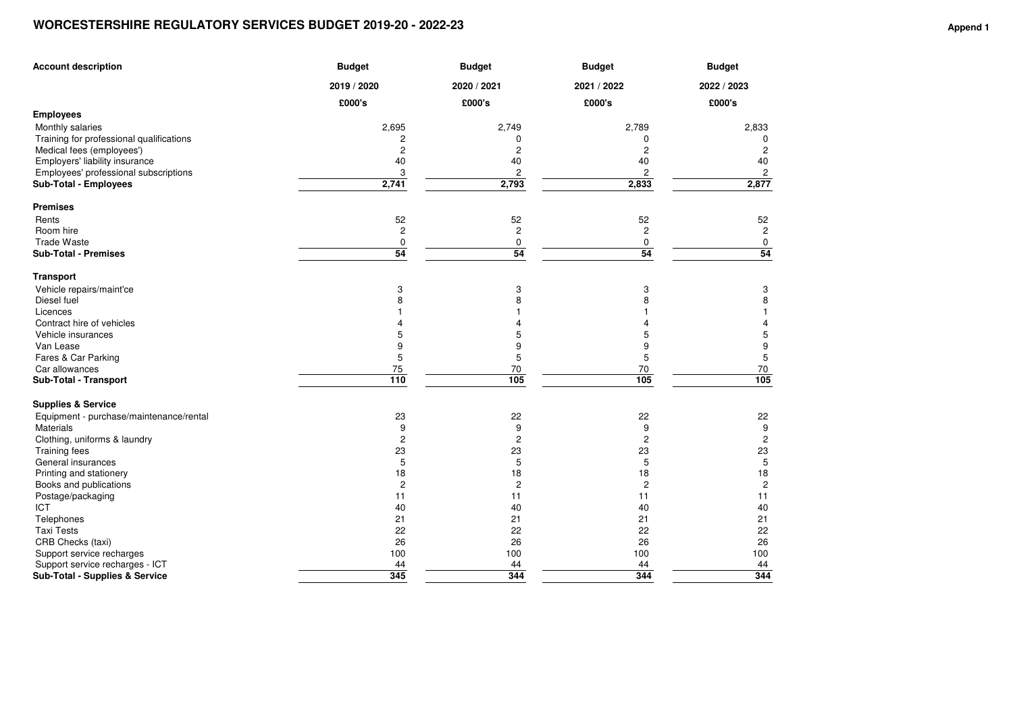## **WORCESTERSHIRE REGULATORY SERVICES BUDGET 2019-20 - 2022-23**

| <b>Account description</b>               | <b>Budget</b>           | <b>Budget</b>  | <b>Budget</b>           | <b>Budget</b>  |  |
|------------------------------------------|-------------------------|----------------|-------------------------|----------------|--|
|                                          | 2019 / 2020             | 2020 / 2021    | 2021 / 2022             | 2022 / 2023    |  |
|                                          | £000's                  | £000's         | £000's                  | £000's         |  |
| <b>Employees</b>                         |                         |                |                         |                |  |
| Monthly salaries                         | 2,695                   | 2,749          | 2,789                   | 2,833          |  |
| Training for professional qualifications | 2                       | 0              | 0                       | 0              |  |
| Medical fees (employees')                | $\sqrt{2}$              | $\overline{c}$ | 2                       | $\overline{c}$ |  |
| Employers' liability insurance           | 40                      | 40             | 40                      | 40             |  |
| Employees' professional subscriptions    | 3                       | 2              | 2                       | 2              |  |
| Sub-Total - Employees                    | 2,741                   | 2,793          | 2,833                   | 2,877          |  |
| <b>Premises</b>                          |                         |                |                         |                |  |
| Rents                                    | 52                      | 52             | 52                      | 52             |  |
| Room hire                                | $\overline{\mathbf{c}}$ | $\overline{c}$ | $\overline{\mathbf{c}}$ | $\overline{c}$ |  |
| <b>Trade Waste</b>                       | $\pmb{0}$               | 0              | 0                       | 0              |  |
| <b>Sub-Total - Premises</b>              | 54                      | 54             | 54                      | 54             |  |
| <b>Transport</b>                         |                         |                |                         |                |  |
| Vehicle repairs/maint'ce                 | 3                       | 3              | 3                       | 3              |  |
| Diesel fuel                              | 8                       | 8              | 8                       | 8              |  |
| Licences                                 |                         |                |                         |                |  |
| Contract hire of vehicles                |                         | 4              | Δ                       | 4              |  |
| Vehicle insurances                       | 5                       | 5              | 5                       | 5              |  |
| Van Lease                                | 9                       | 9              | 9                       | 9              |  |
| Fares & Car Parking                      | 5                       | 5              | 5                       | 5              |  |
| Car allowances                           | 75                      | 70             | 70                      | 70             |  |
| Sub-Total - Transport                    | 110                     | 105            | 105                     | 105            |  |
| <b>Supplies &amp; Service</b>            |                         |                |                         |                |  |
| Equipment - purchase/maintenance/rental  | 23                      | 22             | 22                      | 22             |  |
| Materials                                | 9                       | 9              | 9                       | 9              |  |
| Clothing, uniforms & laundry             | $\overline{c}$          | $\overline{c}$ | $\overline{c}$          | $\overline{c}$ |  |
| <b>Training fees</b>                     | 23                      | 23             | 23                      | 23             |  |
| General insurances                       | 5                       | 5              | 5                       | $\mathbf 5$    |  |
| Printing and stationery                  | 18                      | 18             | 18                      | 18             |  |
| Books and publications                   | $\overline{c}$          | $\overline{c}$ | $\overline{c}$          | $\mathbf{2}$   |  |
| Postage/packaging<br><b>ICT</b>          | 11<br>40                | 11<br>40       | 11<br>40                | 11<br>40       |  |
| Telephones                               | 21                      | 21             | 21                      | 21             |  |
| <b>Taxi Tests</b>                        | 22                      | 22             | 22                      | 22             |  |
| CRB Checks (taxi)                        | 26                      | 26             | 26                      | 26             |  |
| Support service recharges                | 100                     | 100            | 100                     | 100            |  |
| Support service recharges - ICT          | 44                      | 44             | 44                      | 44             |  |
| Sub-Total - Supplies & Service           | 345                     | 344            | 344                     | 344            |  |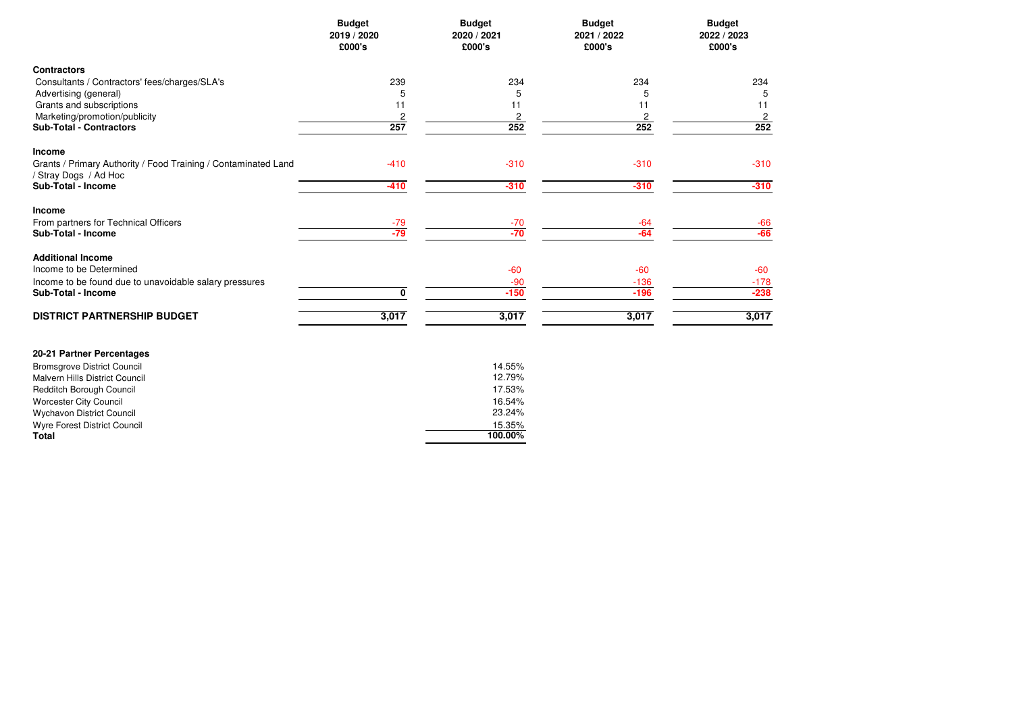| <b>Budget</b><br>2019 / 2020<br>£000's | 2020 / 2021<br>£000's            | 2021 / 2022<br>£000's                                   | <b>Budget</b><br>2022 / 2023<br>£000's                                      |
|----------------------------------------|----------------------------------|---------------------------------------------------------|-----------------------------------------------------------------------------|
|                                        |                                  |                                                         |                                                                             |
| 239                                    | 234                              | 234                                                     | 234                                                                         |
| 5                                      |                                  |                                                         | 5                                                                           |
|                                        |                                  |                                                         | 11                                                                          |
|                                        |                                  |                                                         | $\sqrt{2}$                                                                  |
|                                        |                                  |                                                         | 252                                                                         |
|                                        |                                  |                                                         |                                                                             |
| $-410$                                 | $-310$                           | $-310$                                                  | $-310$                                                                      |
| $-410$                                 | $-310$                           | $-310$                                                  | $-310$                                                                      |
|                                        |                                  |                                                         |                                                                             |
|                                        |                                  |                                                         |                                                                             |
|                                        |                                  | $-64$                                                   | $\frac{-66}{-66}$                                                           |
|                                        |                                  |                                                         |                                                                             |
|                                        | $-60$                            | $-60$                                                   | $-60$                                                                       |
|                                        | $-90$                            | $-136$                                                  | $-178$                                                                      |
| 0                                      | $-150$                           | $-196$                                                  | $-238$                                                                      |
|                                        |                                  | 3,017                                                   | 3,017                                                                       |
|                                        | 11<br>2<br>257<br>$-79$<br>$-79$ | 5<br>11<br>2<br>252<br>$-70$<br>$-70$<br>3,017<br>3,017 | <b>Budget</b><br><b>Budget</b><br>5<br>11<br>$\overline{c}$<br>252<br>$-64$ |

| 20-21 Partner Percentages          |         |
|------------------------------------|---------|
| <b>Bromsgrove District Council</b> | 14.55%  |
| Malvern Hills District Council     | 12.79%  |
| <b>Redditch Borough Council</b>    | 17.53%  |
| Worcester City Council             | 16.54%  |
| <b>Wychavon District Council</b>   | 23.24%  |
| Wyre Forest District Council       | 15.35%  |
| Total                              | 100.00% |